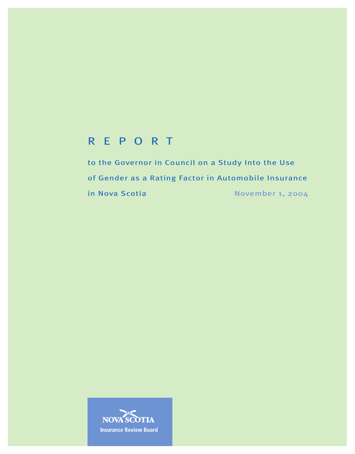# R E P O R T

to the Governor in Council on a Study Into the Use of Gender as a Rating Factor in Automobile Insurance in Nova Scotia November 1, 2004

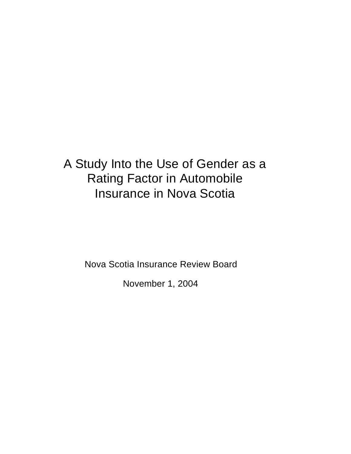Nova Scotia Insurance Review Board

November 1, 2004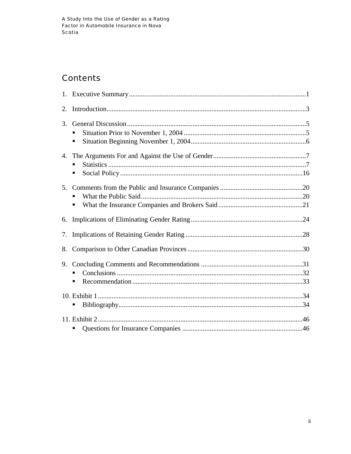# Contents

| 2.               |        |
|------------------|--------|
| 3.               | ■<br>п |
| $\overline{4}$ . | Ξ      |
|                  | П      |
| 6.               |        |
| 7.               |        |
| 8.               |        |
| 9.               | ■      |
|                  |        |
|                  | Ξ      |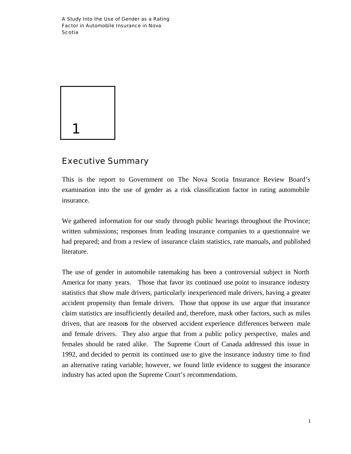

# Executive Summary

This is the report to Government on The Nova Scotia Insurance Review Board's examination into the use of gender as a risk classification factor in rating automobile insurance.

We gathered information for our study through public hearings throughout the Province; written submissions; responses from leading insurance companies to a questionnaire we had prepared; and from a review of insurance claim statistics, rate manuals, and published literature.

The use of gender in automobile ratemaking has been a controversial subject in North America for many years. Those that favor its continued use point to insurance industry statistics that show male drivers, particularly inexperienced male drivers, having a greater accident propensity than female drivers. Those that oppose its use argue that insurance claim statistics are insufficiently detailed and, therefore, mask other factors, such as miles driven, that are reasons for the observed accident experience differences between male and female drivers. They also argue that from a public policy perspective, males and females should be rated alike. The Supreme Court of Canada addressed this issue in 1992, and decided to permit its continued use to give the insurance industry time to find an alternative rating variable; however, we found little evidence to suggest the insurance industry has acted upon the Supreme Court's recommendations.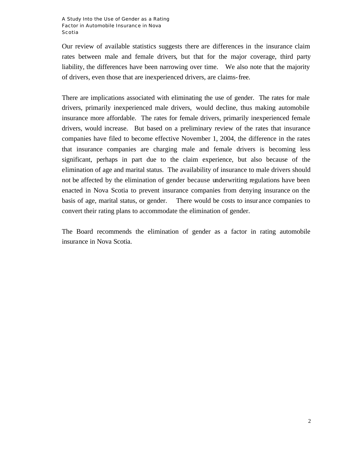Our review of available statistics suggests there are differences in the insurance claim rates between male and female drivers, but that for the major coverage, third party liability, the differences have been narrowing over time. We also note that the majority of drivers, even those that are inexperienced drivers, are claims-free.

There are implications associated with eliminating the use of gender. The rates for male drivers, primarily inexperienced male drivers, would decline, thus making automobile insurance more affordable. The rates for female drivers, primarily inexperienced female drivers, would increase. But based on a preliminary review of the rates that insurance companies have filed to become effective November 1, 2004, the difference in the rates that insurance companies are charging male and female drivers is becoming less significant, perhaps in part due to the claim experience, but also because of the elimination of age and marital status. The availability of insurance to male drivers should not be affected by the elimination of gender because underwriting regulations have been enacted in Nova Scotia to prevent insurance companies from denying insurance on the basis of age, marital status, or gender. There would be costs to insur ance companies to convert their rating plans to accommodate the elimination of gender.

The Board recommends the elimination of gender as a factor in rating automobile insurance in Nova Scotia.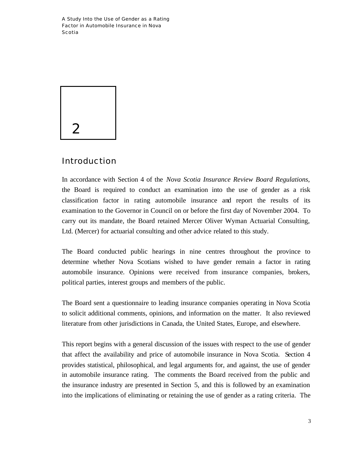

# Introduction

In accordance with Section 4 of the *Nova Scotia Insurance Review Board Regulations*, the Board is required to conduct an examination into the use of gender as a risk classification factor in rating automobile insurance and report the results of its examination to the Governor in Council on or before the first day of November 2004. To carry out its mandate, the Board retained Mercer Oliver Wyman Actuarial Consulting, Ltd. (Mercer) for actuarial consulting and other advice related to this study.

The Board conducted public hearings in nine centres throughout the province to determine whether Nova Scotians wished to have gender remain a factor in rating automobile insurance. Opinions were received from insurance companies, brokers, political parties, interest groups and members of the public.

The Board sent a questionnaire to leading insurance companies operating in Nova Scotia to solicit additional comments, opinions, and information on the matter. It also reviewed literature from other jurisdictions in Canada, the United States, Europe, and elsewhere.

This report begins with a general discussion of the issues with respect to the use of gender that affect the availability and price of automobile insurance in Nova Scotia. Section 4 provides statistical, philosophical, and legal arguments for, and against, the use of gender in automobile insurance rating. The comments the Board received from the public and the insurance industry are presented in Section 5, and this is followed by an examination into the implications of eliminating or retaining the use of gender as a rating criteria. The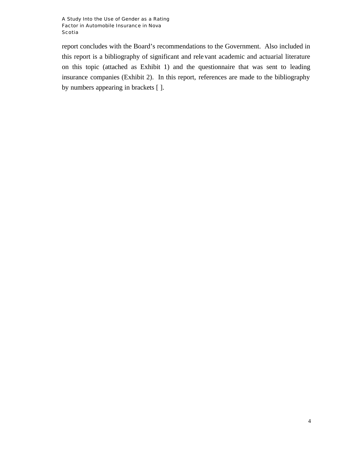report concludes with the Board's recommendations to the Government. Also included in this report is a bibliography of significant and relevant academic and actuarial literature on this topic (attached as Exhibit 1) and the questionnaire that was sent to leading insurance companies (Exhibit 2). In this report, references are made to the bibliography by numbers appearing in brackets [ ].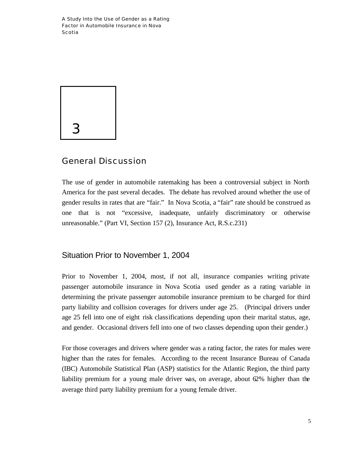

# General Discussion

The use of gender in automobile ratemaking has been a controversial subject in North America for the past several decades. The debate has revolved around whether the use of gender results in rates that are "fair." In Nova Scotia, a "fair" rate should be construed as one that is not "excessive, inadequate, unfairly discriminatory or otherwise unreasonable." (Part VI, Section 157 (2), Insurance Act, R.S.c.231)

# Situation Prior to November 1, 2004

Prior to November 1, 2004, most, if not all, insurance companies writing private passenger automobile insurance in Nova Scotia used gender as a rating variable in determining the private passenger automobile insurance premium to be charged for third party liability and collision coverages for drivers under age 25. (Principal drivers under age 25 fell into one of eight risk classifications depending upon their marital status, age, and gender. Occasional drivers fell into one of two classes depending upon their gender.)

For those coverages and drivers where gender was a rating factor, the rates for males were higher than the rates for females. According to the recent Insurance Bureau of Canada (IBC) Automobile Statistical Plan (ASP) statistics for the Atlantic Region, the third party liability premium for a young male driver was, on average, about 62% higher than the average third party liability premium for a young female driver.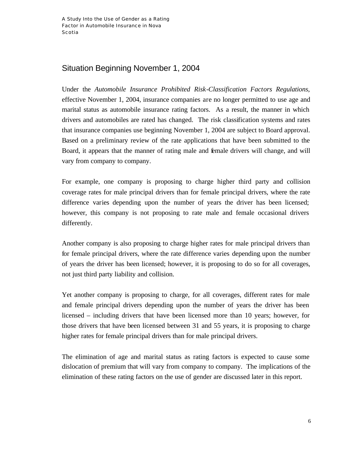# Situation Beginning November 1, 2004

Under the *Automobile Insurance Prohibited Risk-Classification Factors Regulations*, effective November 1, 2004, insurance companies are no longer permitted to use age and marital status as automobile insurance rating factors. As a result, the manner in which drivers and automobiles are rated has changed. The risk classification systems and rates that insurance companies use beginning November 1, 2004 are subject to Board approval. Based on a preliminary review of the rate applications that have been submitted to the Board, it appears that the manner of rating male and female drivers will change, and will vary from company to company.

For example, one company is proposing to charge higher third party and collision coverage rates for male principal drivers than for female principal drivers, where the rate difference varies depending upon the number of years the driver has been licensed; however, this company is not proposing to rate male and female occasional drivers differently.

Another company is also proposing to charge higher rates for male principal drivers than for female principal drivers, where the rate difference varies depending upon the number of years the driver has been licensed; however, it is proposing to do so for all coverages, not just third party liability and collision.

Yet another company is proposing to charge, for all coverages, different rates for male and female principal drivers depending upon the number of years the driver has been licensed – including drivers that have been licensed more than 10 years; however, for those drivers that have been licensed between 31 and 55 years, it is proposing to charge higher rates for female principal drivers than for male principal drivers.

The elimination of age and marital status as rating factors is expected to cause some dislocation of premium that will vary from company to company. The implications of the elimination of these rating factors on the use of gender are discussed later in this report.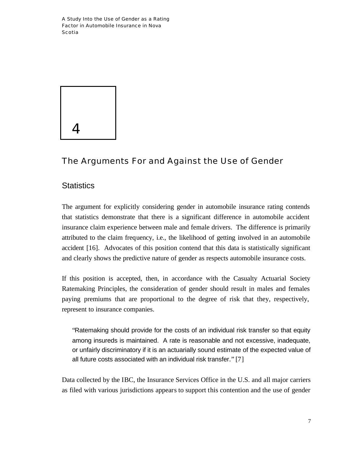

# The Arguments For and Against the Use of Gender

# **Statistics**

The argument for explicitly considering gender in automobile insurance rating contends that statistics demonstrate that there is a significant difference in automobile accident insurance claim experience between male and female drivers. The difference is primarily attributed to the claim frequency, i.e., the likelihood of getting involved in an automobile accident [16]. Advocates of this position contend that this data is statistically significant and clearly shows the predictive nature of gender as respects automobile insurance costs.

If this position is accepted, then, in accordance with the Casualty Actuarial Society Ratemaking Principles, the consideration of gender should result in males and females paying premiums that are proportional to the degree of risk that they, respectively, represent to insurance companies.

"Ratemaking should provide for the costs of an individual risk transfer so that equity among insureds is maintained. A rate is reasonable and not excessive, inadequate, or unfairly discriminatory if it is an actuarially sound estimate of the expected value of all future costs associated with an individual risk transfer." [7]

Data collected by the IBC, the Insurance Services Office in the U.S. and all major carriers as filed with various jurisdictions appears to support this contention and the use of gender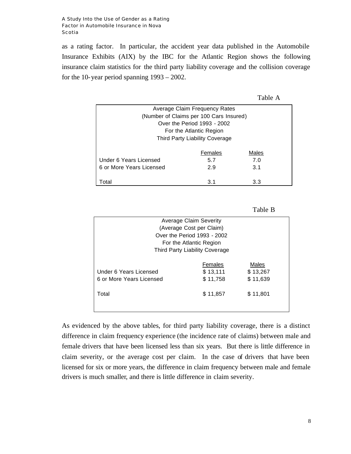as a rating factor. In particular, the accident year data published in the Automobile Insurance Exhibits (AIX) by the IBC for the Atlantic Region shows the following insurance claim statistics for the third party liability coverage and the collision coverage for the 10-year period spanning 1993 – 2002.

| .,<br>aL. |
|-----------|
|-----------|

| Average Claim Frequency Rates           |         |       |  |  |
|-----------------------------------------|---------|-------|--|--|
| (Number of Claims per 100 Cars Insured) |         |       |  |  |
| Over the Period 1993 - 2002             |         |       |  |  |
| For the Atlantic Region                 |         |       |  |  |
|                                         |         |       |  |  |
| Third Party Liability Coverage          |         |       |  |  |
|                                         |         |       |  |  |
|                                         | Females | Males |  |  |
| Under 6 Years Licensed                  | 5.7     | 7.0   |  |  |
| 6 or More Years Licensed                | 2.9     | 3.1   |  |  |
|                                         |         |       |  |  |
| Total                                   | 3.1     | 3.3   |  |  |

Table B

| <b>Average Claim Severity</b><br>(Average Cost per Claim)<br>Over the Period 1993 - 2002 |                                             |                                           |  |  |
|------------------------------------------------------------------------------------------|---------------------------------------------|-------------------------------------------|--|--|
| For the Atlantic Region<br>Third Party Liability Coverage                                |                                             |                                           |  |  |
| Under 6 Years Licensed<br>6 or More Years Licensed<br>Total                              | Females<br>\$13,111<br>\$11,758<br>\$11,857 | Males<br>\$13,267<br>\$11,639<br>\$11.801 |  |  |

As evidenced by the above tables, for third party liability coverage, there is a distinct difference in claim frequency experience (the incidence rate of claims) between male and female drivers that have been licensed less than six years. But there is little difference in claim severity, or the average cost per claim. In the case of drivers that have been licensed for six or more years, the difference in claim frequency between male and female drivers is much smaller, and there is little difference in claim severity.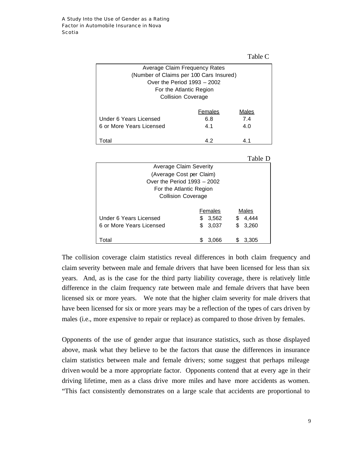Table C

| Average Claim Frequency Rates           |         |       |  |
|-----------------------------------------|---------|-------|--|
| (Number of Claims per 100 Cars Insured) |         |       |  |
| Over the Period $1993 - 2002$           |         |       |  |
| For the Atlantic Region                 |         |       |  |
| <b>Collision Coverage</b>               |         |       |  |
|                                         | Females | Males |  |
| Under 6 Years Licensed                  | 6.8     | 7.4   |  |
| 6 or More Years Licensed                | 4.1     | 4.0   |  |
|                                         |         |       |  |
| Total                                   | 42      | 41    |  |

#### Table D

| <b>Average Claim Severity</b> |             |             |  |  |
|-------------------------------|-------------|-------------|--|--|
| (Average Cost per Claim)      |             |             |  |  |
| Over the Period $1993 - 2002$ |             |             |  |  |
| For the Atlantic Region       |             |             |  |  |
| <b>Collision Coverage</b>     |             |             |  |  |
|                               |             |             |  |  |
|                               | Females     | Males       |  |  |
| Under 6 Years Licensed        | 3,562<br>S  | 4,444<br>æ. |  |  |
| 6 or More Years Licensed      | 3,037<br>S. | 3,260       |  |  |
|                               |             |             |  |  |
| <b>Total</b>                  | 3.066       | 3.305       |  |  |

The collision coverage claim statistics reveal differences in both claim frequency and claim severity between male and female drivers that have been licensed for less than six years. And, as is the case for the third party liability coverage, there is relatively little difference in the claim frequency rate between male and female drivers that have been licensed six or more years. We note that the higher claim severity for male drivers that have been licensed for six or more years may be a reflection of the types of cars driven by males (i.e., more expensive to repair or replace) as compared to those driven by females.

Opponents of the use of gender argue that insurance statistics, such as those displayed above, mask what they believe to be the factors that cause the differences in insurance claim statistics between male and female drivers; some suggest that perhaps mileage driven would be a more appropriate factor. Opponents contend that at every age in their driving lifetime, men as a class drive more miles and have more accidents as women. "This fact consistently demonstrates on a large scale that accidents are proportional to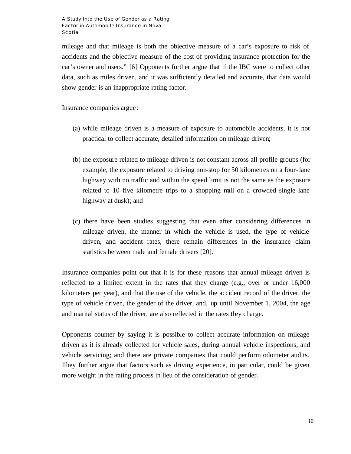mileage and that mileage is both the objective measure of a car's exposure to risk of accidents and the objective measure of the cost of providing insurance protection for the car's owner and users." [6] Opponents further argue that if the IBC were to collect other data, such as miles driven, and it was sufficiently detailed and accurate, that data would show gender is an inappropriate rating factor.

Insurance companies argue :

- (a) while mileage driven is a measure of exposure to automobile accidents, it is not practical to collect accurate, detailed information on mileage driven;
- (b) the exposure related to mileage driven is not constant across all profile groups (for example, the exposure related to driving non-stop for 50 kilometres on a four-lane highway with no traffic and within the speed limit is not the same as the exposure related to 10 five kilometre trips to a shopping mall on a crowded single lane highway at dusk); and
- (c) there have been studies suggesting that even after considering differences in mileage driven, the manner in which the vehicle is used, the type of vehicle driven, and accident rates, there remain differences in the insurance claim statistics between male and female drivers [20].

Insurance companies point out that it is for these reasons that annual mileage driven is reflected to a limited extent in the rates that they charge (e.g., over or under 16,000 kilometers per year), and that the use of the vehicle, the accident record of the driver, the type of vehicle driven, the gender of the driver, and, up until November 1, 2004, the age and marital status of the driver, are also reflected in the rates they charge.

Opponents counter by saying it is possible to collect accurate information on mileage driven as it is already collected for vehicle sales, during annual vehicle inspections, and vehicle servicing; and there are private companies that could perform odometer audits. They further argue that factors such as driving experience, in particular, could be given more weight in the rating process in lieu of the consideration of gender.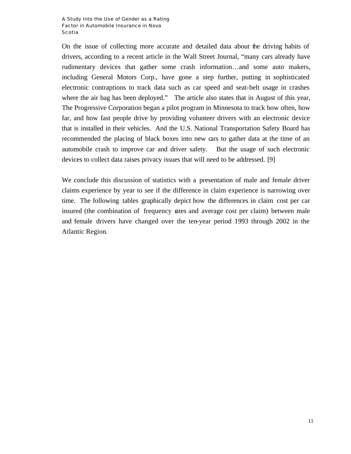On the issue of collecting more accurate and detailed data about the driving habits of drivers, according to a recent article in the Wall Street Journal, "many cars already have rudimentary devices that gather some crash information…and some auto makers, including General Motors Corp., have gone a step further, putting in sophisticated electronic contraptions to track data such as car speed and seat-belt usage in crashes where the air bag has been deployed." The article also states that in August of this year, The Progressive Corporation began a pilot program in Minnesota to track how often, how far, and how fast people drive by providing volunteer drivers with an electronic device that is installed in their vehicles. And the U.S. National Transportation Safety Board has recommended the placing of black boxes into new cars to gather data at the time of an automobile crash to improve car and driver safety. But the usage of such electronic devices to collect data raises privacy issues that will need to be addressed. [9]

We conclude this discussion of statistics with a presentation of male and female driver claims experience by year to see if the difference in claim experience is narrowing over time. The following tables graphically depict how the differences in claim cost per car insured (the combination of frequency rates and average cost per claim) between male and female drivers have changed over the ten-year period 1993 through 2002 in the Atlantic Region.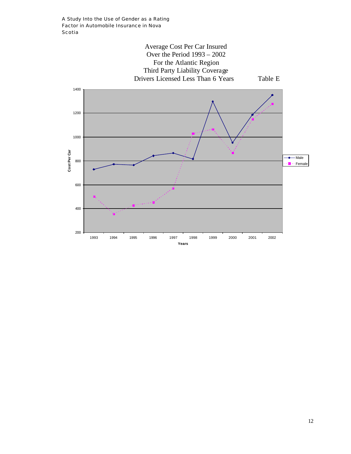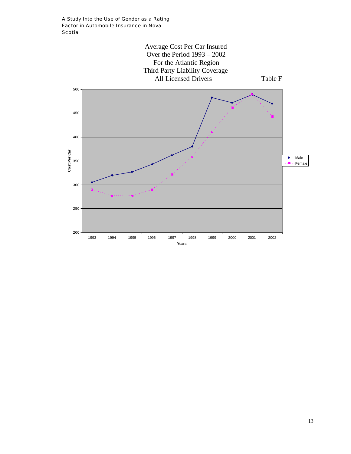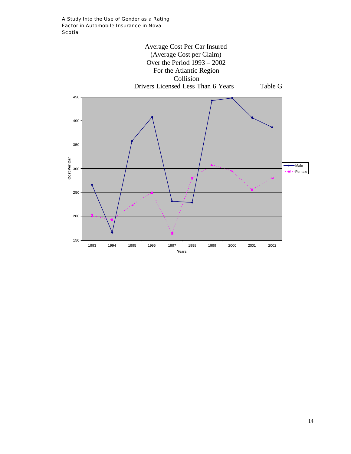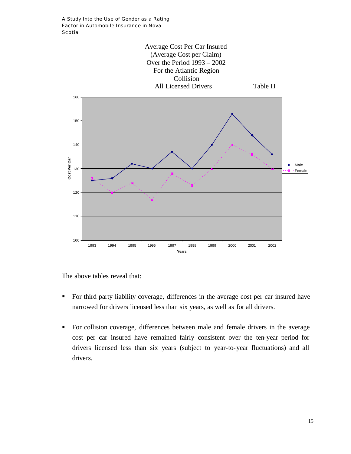

The above tables reveal that:

- For third party liability coverage, differences in the average cost per car insured have narrowed for drivers licensed less than six years, as well as for all drivers.
- **For collision coverage, differences between male and female drivers in the average** cost per car insured have remained fairly consistent over the ten-year period for drivers licensed less than six years (subject to year-to-year fluctuations) and all drivers.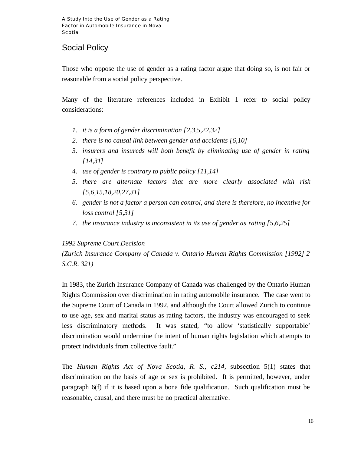# Social Policy

Those who oppose the use of gender as a rating factor argue that doing so, is not fair or reasonable from a social policy perspective.

Many of the literature references included in Exhibit 1 refer to social policy considerations:

- *1. it is a form of gender discrimination [2,3,5,22,32]*
- *2. there is no causal link between gender and accidents [6,10]*
- *3. insurers and insureds will both benefit by eliminating use of gender in rating [14,31]*
- *4. use of gender is contrary to public policy [11,14]*
- *5. there are alternate factors that are more clearly associated with risk [5,6,15,18,20,27,31]*
- *6. gender is not a factor a person can control, and there is therefore, no incentive for loss control [5,31]*
- *7. the insurance industry is inconsistent in its use of gender as rating [5,6,25]*

## *1992 Supreme Court Decision*

*(Zurich Insurance Company of Canada v. Ontario Human Rights Commission [1992] 2 S.C.R. 321)*

In 1983, the Zurich Insurance Company of Canada was challenged by the Ontario Human Rights Commission over discrimination in rating automobile insurance. The case went to the Supreme Court of Canada in 1992, and although the Court allowed Zurich to continue to use age, sex and marital status as rating factors, the industry was encouraged to seek less discriminatory methods. It was stated, "to allow 'statistically supportable' discrimination would undermine the intent of human rights legislation which attempts to protect individuals from collective fault."

The *Human Rights Act of Nova Scotia*, *R. S., c214,* subsection 5(1) states that discrimination on the basis of age or sex is prohibited. It is permitted, however, under paragraph 6(f) if it is based upon a bona fide qualification. Such qualification must be reasonable, causal, and there must be no practical alternative.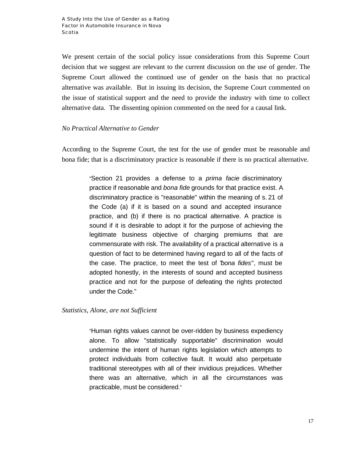We present certain of the social policy issue considerations from this Supreme Court decision that we suggest are relevant to the current discussion on the use of gender. The Supreme Court allowed the continued use of gender on the basis that no practical alternative was available. But in issuing its decision, the Supreme Court commented on the issue of statistical support and the need to provide the industry with time to collect alternative data. The dissenting opinion commented on the need for a causal link.

### *No Practical Alternative to Gender*

According to the Supreme Court, the test for the use of gender must be reasonable and bona fide; that is a discriminatory practice is reasonable if there is no practical alternative.

> "Section 21 provides a defense to a *prima facie* discriminatory practice if reasonable and *bona fide* grounds for that practice exist. A discriminatory practice is "reasonable" within the meaning of s. 21 of the Code (a) if it is based on a sound and accepted insurance practice, and (b) if there is no practical alternative. A practice is sound if it is desirable to adopt it for the purpose of achieving the legitimate business objective of charging premiums that are commensurate with risk. The availability of a practical alternative is a question of fact to be determined having regard to all of the facts of the case. The practice, to meet the test of "*bona fides*", must be adopted honestly, in the interests of sound and accepted business practice and not for the purpose of defeating the rights protected under the Code."

*Statistics, Alone, are not Sufficient*

"Human rights values cannot be over-ridden by business expediency alone. To allow "statistically supportable" discrimination would undermine the intent of human rights legislation which attempts to protect individuals from collective fault. It would also perpetuate traditional stereotypes with all of their invidious prejudices. Whether there was an alternative, which in all the circumstances was practicable, must be considered."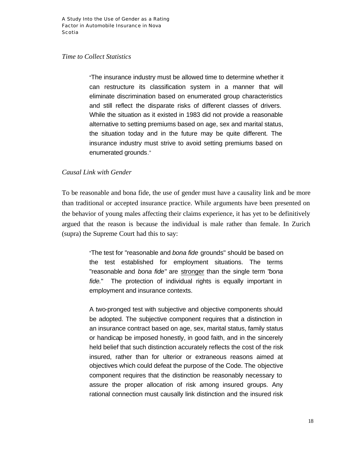#### *Time to Collect Statistics*

"The insurance industry must be allowed time to determine whether it can restructure its classification system in a manner that will eliminate discrimination based on enumerated group characteristics and still reflect the disparate risks of different classes of drivers. While the situation as it existed in 1983 did not provide a reasonable alternative to setting premiums based on age, sex and marital status, the situation today and in the future may be quite different. The insurance industry must strive to avoid setting premiums based on enumerated grounds."

#### *Causal Link with Gender*

To be reasonable and bona fide, the use of gender must have a causality link and be more than traditional or accepted insurance practice. While arguments have been presented on the behavior of young males affecting their claims experience, it has yet to be definitively argued that the reason is because the individual is male rather than female. In Zurich (supra) the Supreme Court had this to say:

> "The test for "reasonable and *bona fide* grounds" should be based on the test established for employment situations. The terms "reasonable and *bona fide*" are stronger than the single term "*bona fide.*" The protection of individual rights is equally important in employment and insurance contexts.

> A two-pronged test with subjective and objective components should be adopted. The subjective component requires that a distinction in an insurance contract based on age, sex, marital status, family status or handicap be imposed honestly, in good faith, and in the sincerely held belief that such distinction accurately reflects the cost of the risk insured, rather than for ulterior or extraneous reasons aimed at objectives which could defeat the purpose of the Code. The objective component requires that the distinction be reasonably necessary to assure the proper allocation of risk among insured groups. Any rational connection must causally link distinction and the insured risk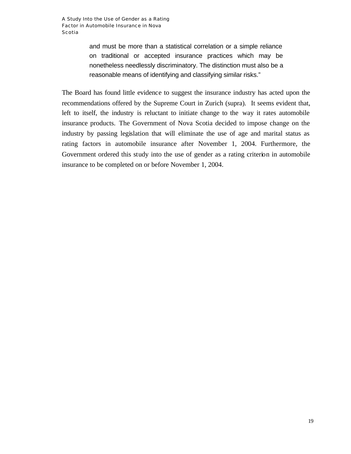and must be more than a statistical correlation or a simple reliance on traditional or accepted insurance practices which may be nonetheless needlessly discriminatory. The distinction must also be a reasonable means of identifying and classifying similar risks."

The Board has found little evidence to suggest the insurance industry has acted upon the recommendations offered by the Supreme Court in Zurich (supra). It seems evident that, left to itself, the industry is reluctant to initiate change to the way it rates automobile insurance products. The Government of Nova Scotia decided to impose change on the industry by passing legislation that will eliminate the use of age and marital status as rating factors in automobile insurance after November 1, 2004. Furthermore, the Government ordered this study into the use of gender as a rating criterion in automobile insurance to be completed on or before November 1, 2004.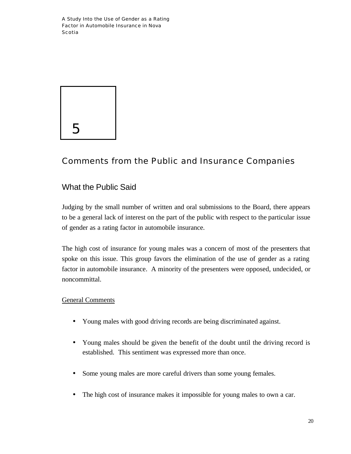

# Comments from the Public and Insurance Companies

# What the Public Said

Judging by the small number of written and oral submissions to the Board, there appears to be a general lack of interest on the part of the public with respect to the particular issue of gender as a rating factor in automobile insurance.

The high cost of insurance for young males was a concern of most of the presenters that spoke on this issue. This group favors the elimination of the use of gender as a rating factor in automobile insurance. A minority of the presenters were opposed, undecided, or noncommittal.

## General Comments

- Young males with good driving records are being discriminated against.
- Young males should be given the benefit of the doubt until the driving record is established. This sentiment was expressed more than once.
- Some young males are more careful drivers than some young females.
- The high cost of insurance makes it impossible for young males to own a car.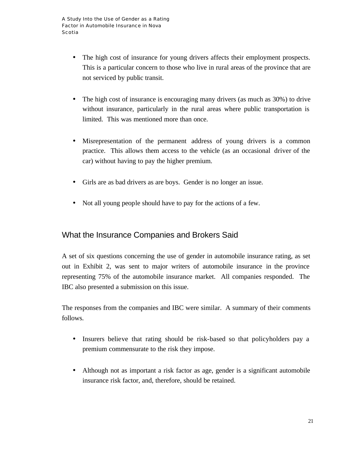- The high cost of insurance for young drivers affects their employment prospects. This is a particular concern to those who live in rural areas of the province that are not serviced by public transit.
- The high cost of insurance is encouraging many drivers (as much as 30%) to drive without insurance, particularly in the rural areas where public transportation is limited. This was mentioned more than once.
- Misrepresentation of the permanent address of young drivers is a common practice. This allows them access to the vehicle (as an occasional driver of the car) without having to pay the higher premium.
- Girls are as bad drivers as are boys. Gender is no longer an issue.
- Not all young people should have to pay for the actions of a few.

# What the Insurance Companies and Brokers Said

A set of six questions concerning the use of gender in automobile insurance rating, as set out in Exhibit 2, was sent to major writers of automobile insurance in the province representing 75% of the automobile insurance market. All companies responded. The IBC also presented a submission on this issue.

The responses from the companies and IBC were similar. A summary of their comments follows.

- Insurers believe that rating should be risk-based so that policyholders pay a premium commensurate to the risk they impose.
- Although not as important a risk factor as age, gender is a significant automobile insurance risk factor, and, therefore, should be retained.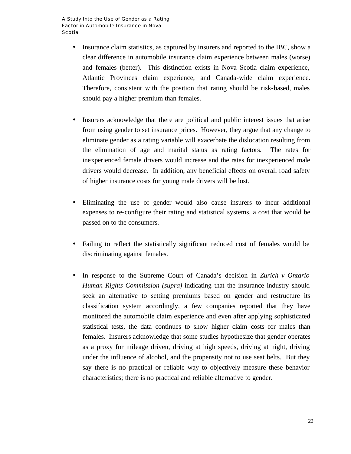- Insurance claim statistics, as captured by insurers and reported to the IBC, show a clear difference in automobile insurance claim experience between males (worse) and females (better). This distinction exists in Nova Scotia claim experience, Atlantic Provinces claim experience, and Canada-wide claim experience. Therefore, consistent with the position that rating should be risk-based, males should pay a higher premium than females.
- Insurers acknowledge that there are political and public interest issues that arise from using gender to set insurance prices. However, they argue that any change to eliminate gender as a rating variable will exacerbate the dislocation resulting from the elimination of age and marital status as rating factors. The rates for inexperienced female drivers would increase and the rates for inexperienced male drivers would decrease. In addition, any beneficial effects on overall road safety of higher insurance costs for young male drivers will be lost.
- Eliminating the use of gender would also cause insurers to incur additional expenses to re-configure their rating and statistical systems, a cost that would be passed on to the consumers.
- Failing to reflect the statistically significant reduced cost of females would be discriminating against females.
- In response to the Supreme Court of Canada's decision in *Zurich v Ontario Human Rights Commission (supra)* indicating that the insurance industry should seek an alternative to setting premiums based on gender and restructure its classification system accordingly, a few companies reported that they have monitored the automobile claim experience and even after applying sophisticated statistical tests, the data continues to show higher claim costs for males than females. Insurers acknowledge that some studies hypothesize that gender operates as a proxy for mileage driven, driving at high speeds, driving at night, driving under the influence of alcohol, and the propensity not to use seat belts. But they say there is no practical or reliable way to objectively measure these behavior characteristics; there is no practical and reliable alternative to gender.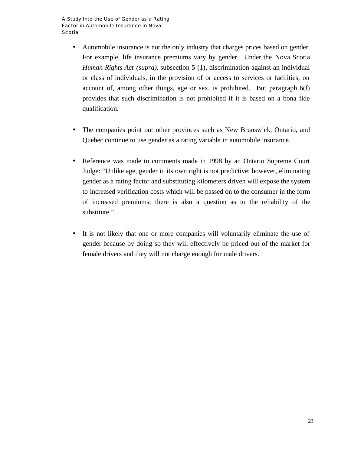- Automobile insurance is not the only industry that charges prices based on gender. For example, life insurance premiums vary by gender. Under the Nova Scotia *Human Rights Act (supra),* subsection 5 (1), discrimination against an individual or class of individuals, in the provision of or access to services or facilities, on account of, among other things, age or sex, is prohibited. But paragraph 6(f) provides that such discrimination is not prohibited if it is based on a bona fide qualification.
- The companies point out other provinces such as New Brunswick, Ontario, and Quebec continue to use gender as a rating variable in automobile insurance.
- Reference was made to comments made in 1998 by an Ontario Supreme Court Judge: "Unlike age, gender in its own right is not predictive; however, eliminating gender as a rating factor and substituting kilometers driven will expose the system to increased verification costs which will be passed on to the consumer in the form of increased premiums; there is also a question as to the reliability of the substitute."
- It is not likely that one or more companies will voluntarily eliminate the use of gender because by doing so they will effectively be priced out of the market for female drivers and they will not charge enough for male drivers.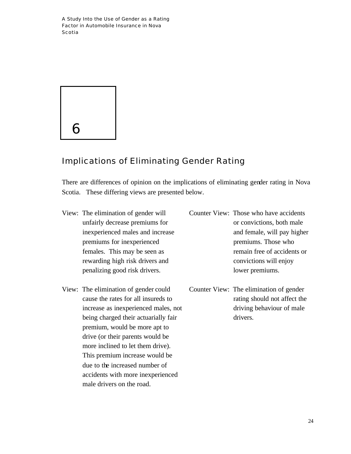

# Implications of Eliminating Gender Rating

There are differences of opinion on the implications of eliminating gender rating in Nova Scotia. These differing views are presented below.

- View: The elimination of gender will unfairly decrease premiums for inexperienced males and increase premiums for inexperienced females. This may be seen as rewarding high risk drivers and penalizing good risk drivers.
- View: The elimination of gender could cause the rates for all insureds to increase as inexperienced males, not being charged their actuarially fair premium, would be more apt to drive (or their parents would be more inclined to let them drive). This premium increase would be due to the increased number of accidents with more inexperienced male drivers on the road.
- Counter View: Those who have accidents or convictions, both male and female, will pay higher premiums. Those who remain free of accidents or convictions will enjoy lower premiums.
- Counter View: The elimination of gender rating should not affect the driving behaviour of male drivers.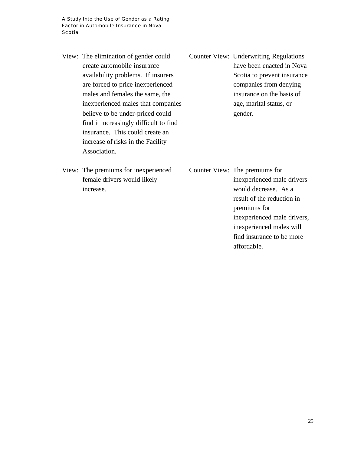View: The elimination of gender could create automobile insurance availability problems. If insurers are forced to price inexperienced males and females the same, the inexperienced males that companies believe to be under-priced could find it increasingly difficult to find insurance. This could create an increase of risks in the Facility Association.

View: The premiums for inexperienced female drivers would likely increase.

Counter View: Underwriting Regulations have been enacted in Nova Scotia to prevent insurance companies from denying insurance on the basis of age, marital status, or gender.

Counter View: The premiums for inexperienced male drivers would decrease. As a result of the reduction in premiums for inexperienced male drivers, inexperienced males will find insurance to be more affordable.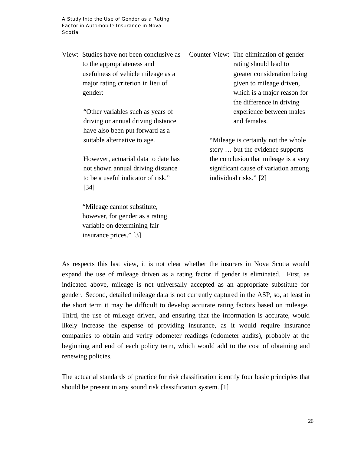View: Studies have not been conclusive as to the appropriateness and usefulness of vehicle mileage as a major rating criterion in lieu of gender:

> "Other variables such as years of driving or annual driving distance have also been put forward as a suitable alternative to age.

However, actuarial data to date has not shown annual driving distance to be a useful indicator of risk." [34]

"Mileage cannot substitute, however, for gender as a rating variable on determining fair insurance prices." [3]

Counter View: The elimination of gender rating should lead to greater consideration being given to mileage driven, which is a major reason for the difference in driving experience between males and females.

> "Mileage is certainly not the whole story … but the evidence supports the conclusion that mileage is a very significant cause of variation among individual risks." [2]

As respects this last view, it is not clear whether the insurers in Nova Scotia would expand the use of mileage driven as a rating factor if gender is eliminated. First, as indicated above, mileage is not universally accepted as an appropriate substitute for gender. Second, detailed mileage data is not currently captured in the ASP, so, at least in the short term it may be difficult to develop accurate rating factors based on mileage. Third, the use of mileage driven, and ensuring that the information is accurate, would likely increase the expense of providing insurance, as it would require insurance companies to obtain and verify odometer readings (odometer audits), probably at the beginning and end of each policy term, which would add to the cost of obtaining and renewing policies.

The actuarial standards of practice for risk classification identify four basic principles that should be present in any sound risk classification system. [1]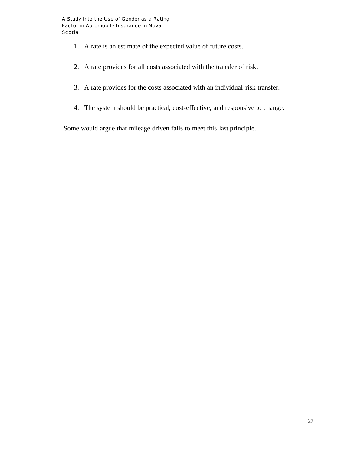- 1. A rate is an estimate of the expected value of future costs.
- 2. A rate provides for all costs associated with the transfer of risk.
- 3. A rate provides for the costs associated with an individual risk transfer.
- 4. The system should be practical, cost-effective, and responsive to change.

Some would argue that mileage driven fails to meet this last principle.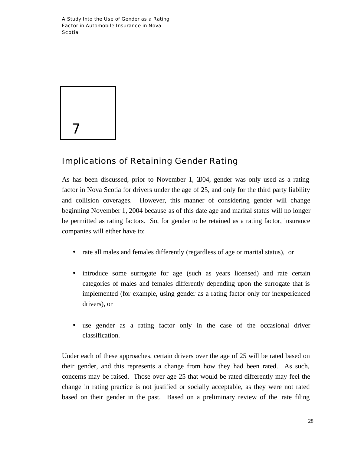

# Implications of Retaining Gender Rating

As has been discussed, prior to November 1, 2004, gender was only used as a rating factor in Nova Scotia for drivers under the age of 25, and only for the third party liability and collision coverages. However, this manner of considering gender will change beginning November 1, 2004 because as of this date age and marital status will no longer be permitted as rating factors. So, for gender to be retained as a rating factor, insurance companies will either have to:

- rate all males and females differently (regardless of age or marital status), or
- introduce some surrogate for age (such as years licensed) and rate certain categories of males and females differently depending upon the surrogate that is implemented (for example, using gender as a rating factor only for inexperienced drivers), or
- use gender as a rating factor only in the case of the occasional driver classification.

Under each of these approaches, certain drivers over the age of 25 will be rated based on their gender, and this represents a change from how they had been rated. As such, concerns may be raised. Those over age 25 that would be rated differently may feel the change in rating practice is not justified or socially acceptable, as they were not rated based on their gender in the past. Based on a preliminary review of the rate filing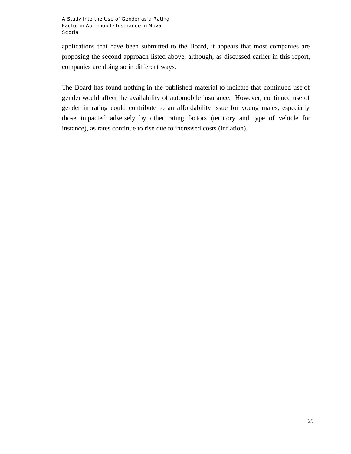applications that have been submitted to the Board, it appears that most companies are proposing the second approach listed above, although, as discussed earlier in this report, companies are doing so in different ways.

The Board has found nothing in the published material to indicate that continued use of gender would affect the availability of automobile insurance. However, continued use of gender in rating could contribute to an affordability issue for young males, especially those impacted adversely by other rating factors (territory and type of vehicle for instance), as rates continue to rise due to increased costs (inflation).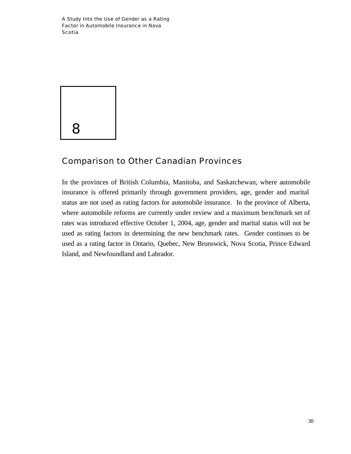

# Comparison to Other Canadian Provinces

In the provinces of British Columbia, Manitoba, and Saskatchewan, where automobile insurance is offered primarily through government providers, age, gender and marital status are not used as rating factors for automobile insurance. In the province of Alberta, where automobile reforms are currently under review and a maximum benchmark set of rates was introduced effective October 1, 2004, age, gender and marital status will not be used as rating factors in determining the new benchmark rates. Gender continues to be used as a rating factor in Ontario, Quebec, New Brunswick, Nova Scotia, Prince Edward Island, and Newfoundland and Labrador.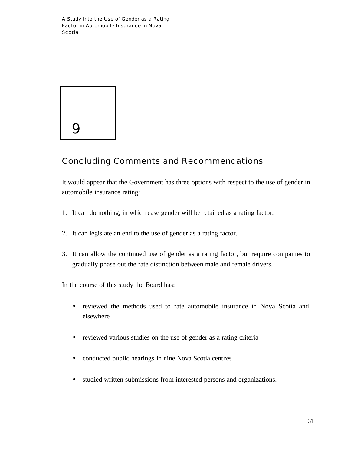

# Concluding Comments and Recommendations

It would appear that the Government has three options with respect to the use of gender in automobile insurance rating:

- 1. It can do nothing, in which case gender will be retained as a rating factor.
- 2. It can legislate an end to the use of gender as a rating factor.
- 3. It can allow the continued use of gender as a rating factor, but require companies to gradually phase out the rate distinction between male and female drivers.

In the course of this study the Board has:

- reviewed the methods used to rate automobile insurance in Nova Scotia and elsewhere
- reviewed various studies on the use of gender as a rating criteria
- conducted public hearings in nine Nova Scotia centres
- studied written submissions from interested persons and organizations.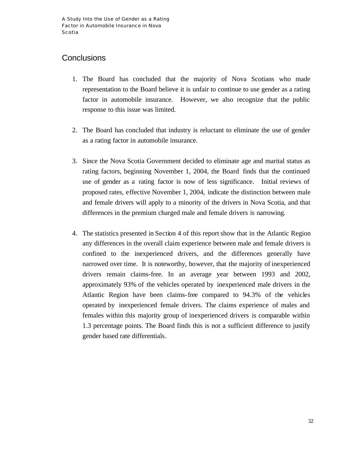# **Conclusions**

- 1. The Board has concluded that the majority of Nova Scotians who made representation to the Board believe it is unfair to continue to use gender as a rating factor in automobile insurance. However, we also recognize that the public response to this issue was limited.
- 2. The Board has concluded that industry is reluctant to eliminate the use of gender as a rating factor in automobile insurance.
- 3. Since the Nova Scotia Government decided to eliminate age and marital status as rating factors, beginning November 1, 2004, the Board finds that the continued use of gender as a rating factor is now of less significance. Initial reviews of proposed rates, effective November 1, 2004, indicate the distinction between male and female drivers will apply to a minority of the drivers in Nova Scotia, and that differences in the premium charged male and female drivers is narrowing.
- 4. The statistics presented in Section 4 of this report show that in the Atlantic Region any differences in the overall claim experience between male and female drivers is confined to the inexperienced drivers, and the differences generally have narrowed over time. It is noteworthy, however, that the majority of inexperienced drivers remain claims-free. In an average year between 1993 and 2002, approximately 93% of the vehicles operated by inexperienced male drivers in the Atlantic Region have been claims-free compared to 94.3% of the vehicles operated by inexperienced female drivers. The claims experience of males and females within this majority group of inexperienced drivers is comparable within 1.3 percentage points. The Board finds this is not a sufficient difference to justify gender based rate differentials.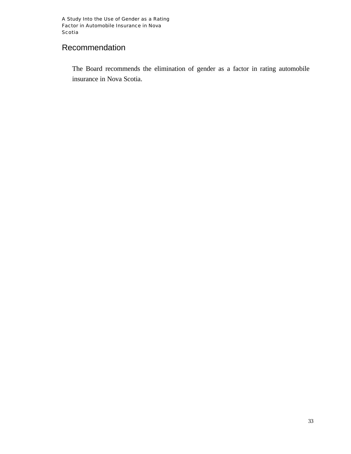# Recommendation

The Board recommends the elimination of gender as a factor in rating automobile insurance in Nova Scotia.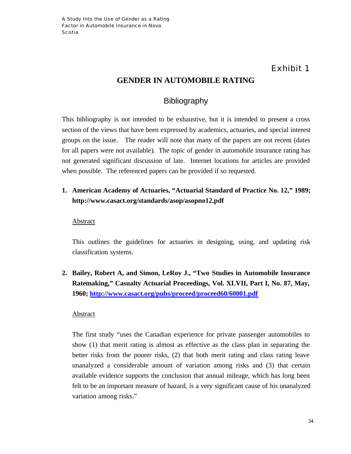# Exhibit 1

# **GENDER IN AUTOMOBILE RATING**

# **Bibliography**

This bibliography is not intended to be exhaustive, but it is intended to present a cross section of the views that have been expressed by academics, actuaries, and special interest groups on the issue. The reader will note that many of the papers are not recent (dates for all papers were not available). The topic of gender in automobile insurance rating has not generated significant discussion of late. Internet locations for articles are provided when possible. The referenced papers can be provided if so requested.

# **1. American Academy of Actuaries, "Actuarial Standard of Practice No. 12," 1989; http://www.casact.org/standards/asop/asopno12.pdf**

### Abstract

This outlines the guidelines for actuaries in designing, using, and updating risk classification systems.

**2. Bailey, Robert A, and Simon, LeRoy J., "Two Studies in Automobile Insurance Ratemaking," Casualty Actuarial Proceedings, Vol. XLVII, Part I, No. 87, May, 1960; http://www.casact.org/pubs/proceed/proceed60/60001.pdf**

### Abstract

The first study "uses the Canadian experience for private passenger automobiles to show (1) that merit rating is almost as effective as the class plan in separating the better risks from the poorer risks, (2) that both merit rating and class rating leave unanalyzed a considerable amount of variation among risks and (3) that certain available evidence supports the conclusion that annual mileage, which has long been felt to be an important measure of hazard, is a very significant cause of his unanalyzed variation among risks."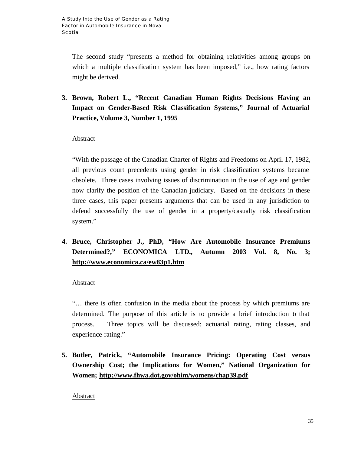The second study "presents a method for obtaining relativities among groups on which a multiple classification system has been imposed," i.e., how rating factors might be derived.

**3. Brown, Robert L., "Recent Canadian Human Rights Decisions Having an Impact on Gender-Based Risk Classification Systems," Journal of Actuarial Practice, Volume 3, Number 1, 1995**

### Abstract

"With the passage of the Canadian Charter of Rights and Freedoms on April 17, 1982, all previous court precedents using gender in risk classification systems became obsolete. Three cases involving issues of discrimination in the use of age and gender now clarify the position of the Canadian judiciary. Based on the decisions in these three cases, this paper presents arguments that can be used in any jurisdiction to defend successfully the use of gender in a property/casualty risk classification system."

**4. Bruce, Christopher J., PhD, "How Are Automobile Insurance Premiums Determined?," ECONOMICA LTD., Autumn 2003 Vol. 8, No. 3; http://www.economica.ca/ew83p1.htm**

### Abstract

"… there is often confusion in the media about the process by which premiums are determined. The purpose of this article is to provide a brief introduction to that process. Three topics will be discussed: actuarial rating, rating classes, and experience rating."

**5. Butler, Patrick, "Automobile Insurance Pricing: Operating Cost versus Ownership Cost; the Implications for Women," National Organization for Women; http://www.fhwa.dot.gov/ohim/womens/chap39.pdf**

### Abstract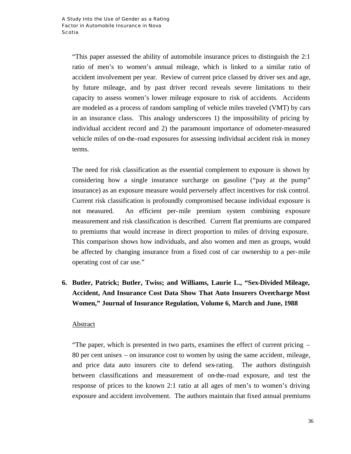"This paper assessed the ability of automobile insurance prices to distinguish the 2:1 ratio of men's to women's annual mileage, which is linked to a similar ratio of accident involvement per year. Review of current price classed by driver sex and age, by future mileage, and by past driver record reveals severe limitations to their capacity to assess women's lower mileage exposure to risk of accidents. Accidents are modeled as a process of random sampling of vehicle miles traveled (VMT) by cars in an insurance class. This analogy underscores 1) the impossibility of pricing by individual accident record and 2) the paramount importance of odometer-measured vehicle miles of on-the-road exposures for assessing individual accident risk in money terms.

The need for risk classification as the essential complement to exposure is shown by considering how a single insurance surcharge on gasoline ("pay at the pump" insurance) as an exposure measure would perversely affect incentives for risk control. Current risk classification is profoundly compromised because individual exposure is not measured. An efficient per-mile premium system combining exposure measurement and risk classification is described. Current flat premiums are compared to premiums that would increase in direct proportion to miles of driving exposure. This comparison shows how individuals, and also women and men as groups, would be affected by changing insurance from a fixed cost of car ownership to a per-mile operating cost of car use."

**6. Butler, Patrick; Butler, Twiss; and Williams, Laurie L., "Sex-Divided Mileage, Accident, And Insurance Cost Data Show That Auto Insurers Overcharge Most Women," Journal of Insurance Regulation, Volume 6, March and June, 1988**

#### Abstract

"The paper, which is presented in two parts, examines the effect of current pricing – 80 per cent unisex – on insurance cost to women by using the same accident, mileage, and price data auto insurers cite to defend sex-rating. The authors distinguish between classifications and measurement of on-the-road exposure, and test the response of prices to the known 2:1 ratio at all ages of men's to women's driving exposure and accident involvement. The authors maintain that fixed annual premiums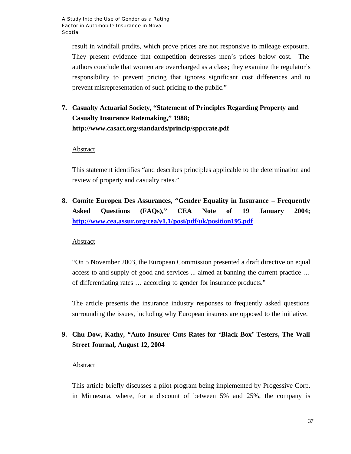result in windfall profits, which prove prices are not responsive to mileage exposure. They present evidence that competition depresses men's prices below cost. The authors conclude that women are overcharged as a class; they examine the regulator's responsibility to prevent pricing that ignores significant cost differences and to prevent misrepresentation of such pricing to the public."

**7. Casualty Actuarial Society, "Statement of Principles Regarding Property and Casualty Insurance Ratemaking," 1988; http://www.casact.org/standards/princip/sppcrate.pdf**

### Abstract

This statement identifies "and describes principles applicable to the determination and review of property and casualty rates."

**8. Comite Europen Des Assurances, "Gender Equality in Insurance – Frequently Asked Questions (FAQs)," CEA Note of 19 January 2004; http://www.cea.assur.org/cea/v1.1/posi/pdf/uk/position195.pdf**

### Abstract

"On 5 November 2003, the European Commission presented a draft directive on equal access to and supply of good and services ... aimed at banning the current practice … of differentiating rates … according to gender for insurance products."

The article presents the insurance industry responses to frequently asked questions surrounding the issues, including why European insurers are opposed to the initiative.

# **9. Chu Dow, Kathy, "Auto Insurer Cuts Rates for 'Black Box' Testers, The Wall Street Journal, August 12, 2004**

#### Abstract

This article briefly discusses a pilot program being implemented by Progessive Corp. in Minnesota, where, for a discount of between 5% and 25%, the company is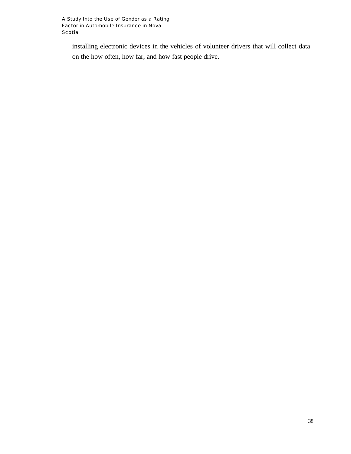installing electronic devices in the vehicles of volunteer drivers that will collect data on the how often, how far, and how fast people drive.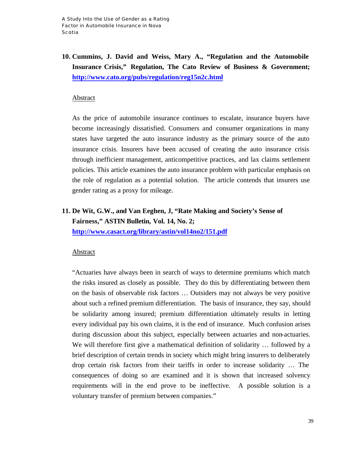**10. Cummins, J. David and Weiss, Mary A., "Regulation and the Automobile Insurance Crisis," Regulation, The Cato Review of Business & Government; http://www.cato.org/pubs/regulation/reg15n2c.html**

### Abstract

As the price of automobile insurance continues to escalate, insurance buyers have become increasingly dissatisfied. Consumers and consumer organizations in many states have targeted the auto insurance industry as the primary source of the auto insurance crisis. Insurers have been accused of creating the auto insurance crisis through inefficient management, anticompetitive practices, and lax claims settlement policies. This article examines the auto insurance problem with particular emphasis on the role of regulation as a potential solution. The article contends that insurers use gender rating as a proxy for mileage.

# **11. De Wit, G.W., and Van Eeghen, J, "Rate Making and Society's Sense of Fairness," ASTIN Bulletin, Vol. 14, No. 2;**

**http://www.casact.org/library/astin/vol14no2/151.pdf**

#### Abstract

"Actuaries have always been in search of ways to determine premiums which match the risks insured as closely as possible. They do this by differentiating between them on the basis of observable risk factors … Outsiders may not always be very positive about such a refined premium differentiation. The basis of insurance, they say, should be solidarity among insured; premium differentiation ultimately results in letting every individual pay his own claims, it is the end of insurance. Much confusion arises during discussion about this subject, especially between actuaries and non-actuaries. We will therefore first give a mathematical definition of solidarity … followed by a brief description of certain trends in society which might bring insurers to deliberately drop certain risk factors from their tariffs in order to increase solidarity … The consequences of doing so are examined and it is shown that increased solvency requirements will in the end prove to be ineffective. A possible solution is a voluntary transfer of premium between companies."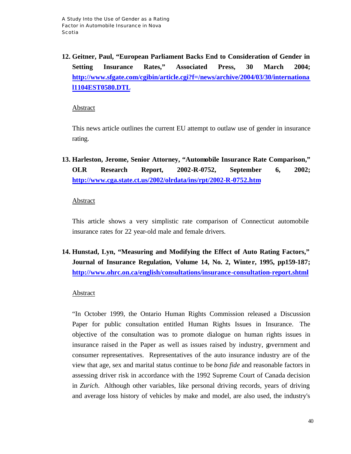**12. Geitner, Paul, "European Parliament Backs End to Consideration of Gender in Setting Insurance Rates," Associated Press, 30 March 2004; http://www.sfgate.com/cgibin/article.cgi?f=/news/archive/2004/03/30/internationa l1104EST0580.DTL**

### Abstract

This news article outlines the current EU attempt to outlaw use of gender in insurance rating.

**13. Harleston, Jerome, Senior Attorney, "Automobile Insurance Rate Comparison," OLR Research Report, 2002-R-0752, September 6, 2002; http://www.cga.state.ct.us/2002/olrdata/ins/rpt/2002-R-0752.htm**

### Abstract

This article shows a very simplistic rate comparison of Connecticut automobile insurance rates for 22 year-old male and female drivers.

**14. Hunstad, Lyn, "Measuring and Modifying the Effect of Auto Rating Factors," Journal of Insurance Regulation, Volume 14, No. 2, Winter, 1995, pp159-187; http://www.ohrc.on.ca/english/consultations/insurance-consultation-report.shtml**

## Abstract

"In October 1999, the Ontario Human Rights Commission released a Discussion Paper for public consultation entitled Human Rights Issues in Insurance. The objective of the consultation was to promote dialogue on human rights issues in insurance raised in the Paper as well as issues raised by industry, government and consumer representatives. Representatives of the auto insurance industry are of the view that age, sex and marital status continue to be *bona fide* and reasonable factors in assessing driver risk in accordance with the 1992 Supreme Court of Canada decision in *Zurich*. Although other variables, like personal driving records, years of driving and average loss history of vehicles by make and model, are also used, the industry's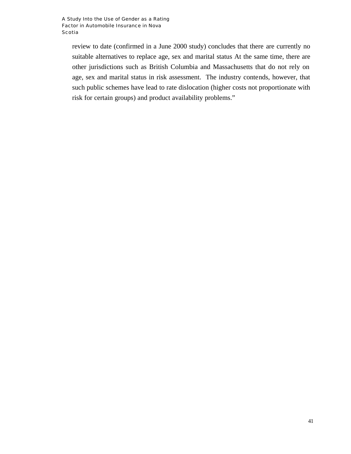review to date (confirmed in a June 2000 study) concludes that there are currently no suitable alternatives to replace age, sex and marital status At the same time, there are other jurisdictions such as British Columbia and Massachusetts that do not rely on age, sex and marital status in risk assessment. The industry contends, however, that such public schemes have lead to rate dislocation (higher costs not proportionate with risk for certain groups) and product availability problems."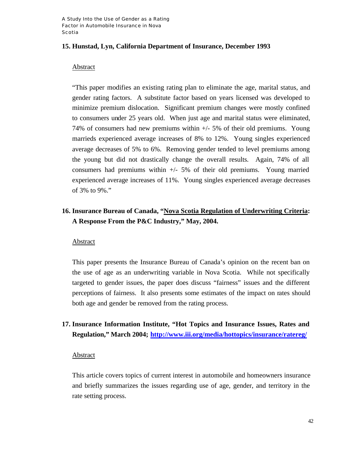### **15. Hunstad, Lyn, California Department of Insurance, December 1993**

### Abstract

"This paper modifies an existing rating plan to eliminate the age, marital status, and gender rating factors. A substitute factor based on years licensed was developed to minimize premium dislocation. Significant premium changes were mostly confined to consumers under 25 years old. When just age and marital status were eliminated, 74% of consumers had new premiums within +/- 5% of their old premiums. Young marrieds experienced average increases of 8% to 12%. Young singles experienced average decreases of 5% to 6%. Removing gender tended to level premiums among the young but did not drastically change the overall results. Again, 74% of all consumers had premiums within  $+/-$  5% of their old premiums. Young married experienced average increases of 11%. Young singles experienced average decreases of 3% to 9%."

# **16. Insurance Bureau of Canada, "Nova Scotia Regulation of Underwriting Criteria: A Response From the P&C Industry," May, 2004.**

### Abstract

This paper presents the Insurance Bureau of Canada's opinion on the recent ban on the use of age as an underwriting variable in Nova Scotia. While not specifically targeted to gender issues, the paper does discuss "fairness" issues and the different perceptions of fairness. It also presents some estimates of the impact on rates should both age and gender be removed from the rating process.

# **17. Insurance Information Institute, "Hot Topics and Insurance Issues, Rates and Regulation," March 2004; http://www.iii.org/media/hottopics/insurance/ratereg/**

### Abstract

This article covers topics of current interest in automobile and homeowners insurance and briefly summarizes the issues regarding use of age, gender, and territory in the rate setting process.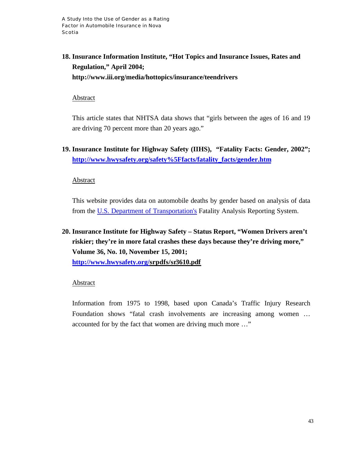# **18. Insurance Information Institute, "Hot Topics and Insurance Issues, Rates and Regulation," April 2004; http://www.iii.org/media/hottopics/insurance/teendrivers**

### Abstract

This article states that NHTSA data shows that "girls between the ages of 16 and 19 are driving 70 percent more than 20 years ago."

**19. Insurance Institute for Highway Safety (IIHS), "Fatality Facts: Gender, 2002"; http://www.hwysafety.org/safety%5Ffacts/fatality\_facts/gender.htm**

### Abstract

This website provides data on automobile deaths by gender based on analysis of data from the U.S. Department of Transportation's Fatality Analysis Reporting System.

**20. Insurance Institute for Highway Safety – Status Report, "Women Drivers aren't riskier; they're in more fatal crashes these days because they're driving more," Volume 36, No. 10, November 15, 2001; http://www.hwysafety.org/srpdfs/sr3610.pdf**

### Abstract

Information from 1975 to 1998, based upon Canada's Traffic Injury Research Foundation shows "fatal crash involvements are increasing among women … accounted for by the fact that women are driving much more …"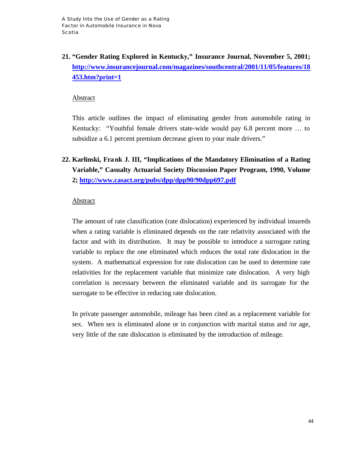**21. "Gender Rating Explored in Kentucky," Insurance Journal, November 5, 2001; http://www.insurancejournal.com/magazines/southcentral/2001/11/05/features/18 453.htm?print=1**

### Abstract

This article outlines the impact of eliminating gender from automobile rating in Kentucky: "Youthful female drivers state-wide would pay 6.8 percent more … to subsidize a 6.1 percent premium decrease given to your male drivers."

**22. Karlinski, Frank J. III, "Implications of the Mandatory Elimination of a Rating Variable," Casualty Actuarial Society Discussion Paper Program, 1990, Volume 2; http://www.casact.org/pubs/dpp/dpp90/90dpp697.pdf**

#### Abstract

The amount of rate classification (rate dislocation) experienced by individual insureds when a rating variable is eliminated depends on the rate relativity associated with the factor and with its distribution. It may be possible to introduce a surrogate rating variable to replace the one eliminated which reduces the total rate dislocation in the system. A mathematical expression for rate dislocation can be used to determine rate relativities for the replacement variable that minimize rate dislocation. A very high correlation is necessary between the eliminated variable and its surrogate for the surrogate to be effective in reducing rate dislocation.

In private passenger automobile, mileage has been cited as a replacement variable for sex. When sex is eliminated alone or in conjunction with marital status and /or age, very little of the rate dislocation is eliminated by the introduction of mileage.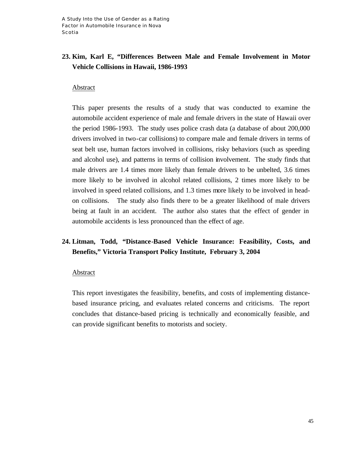# **23. Kim, Karl E, "Differences Between Male and Female Involvement in Motor Vehicle Collisions in Hawaii, 1986-1993**

### Abstract

This paper presents the results of a study that was conducted to examine the automobile accident experience of male and female drivers in the state of Hawaii over the period 1986-1993. The study uses police crash data (a database of about 200,000 drivers involved in two-car collisions) to compare male and female drivers in terms of seat belt use, human factors involved in collisions, risky behaviors (such as speeding and alcohol use), and patterns in terms of collision involvement. The study finds that male drivers are 1.4 times more likely than female drivers to be unbelted, 3.6 times more likely to be involved in alcohol related collisions, 2 times more likely to be involved in speed related collisions, and 1.3 times more likely to be involved in headon collisions. The study also finds there to be a greater likelihood of male drivers being at fault in an accident. The author also states that the effect of gender in automobile accidents is less pronounced than the effect of age.

# **24. Litman, Todd, "Distance-Based Vehicle Insurance: Feasibility, Costs, and Benefits," Victoria Transport Policy Institute, February 3, 2004**

#### Abstract

This report investigates the feasibility, benefits, and costs of implementing distancebased insurance pricing, and evaluates related concerns and criticisms. The report concludes that distance-based pricing is technically and economically feasible, and can provide significant benefits to motorists and society.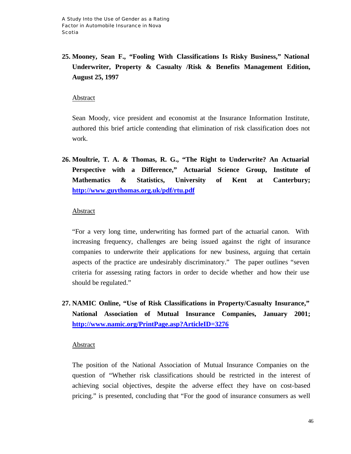# **25. Mooney, Sean F., "Fooling With Classifications Is Risky Business," National Underwriter, Property & Casualty /Risk & Benefits Management Edition, August 25, 1997**

### Abstract

Sean Moody, vice president and economist at the Insurance Information Institute, authored this brief article contending that elimination of risk classification does not work.

**26. Moultrie, T. A. & Thomas, R. G., "The Right to Underwrite? An Actuarial Perspective with a Difference," Actuarial Science Group, Institute of Mathematics & Statistics, University of Kent at Canterbury; http://www.guythomas.org.uk/pdf/rtu.pdf**

### Abstract

"For a very long time, underwriting has formed part of the actuarial canon. With increasing frequency, challenges are being issued against the right of insurance companies to underwrite their applications for new business, arguing that certain aspects of the practice are undesirably discriminatory." The paper outlines "seven criteria for assessing rating factors in order to decide whether and how their use should be regulated."

**27. NAMIC Online, "Use of Risk Classifications in Property/Casualty Insurance," National Association of Mutual Insurance Companies, January 2001; http://www.namic.org/PrintPage.asp?ArticleID=3276**

#### Abstract

The position of the National Association of Mutual Insurance Companies on the question of "Whether risk classifications should be restricted in the interest of achieving social objectives, despite the adverse effect they have on cost-based pricing." is presented, concluding that "For the good of insurance consumers as well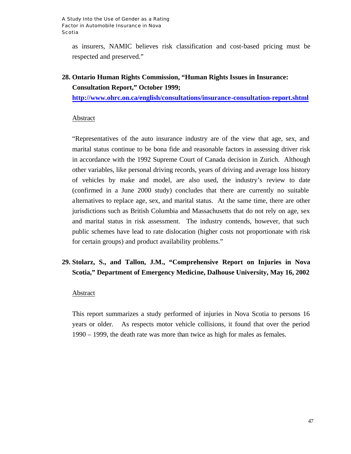as insurers, NAMIC believes risk classification and cost-based pricing must be respected and preserved."

# **28. Ontario Human Rights Commission, "Human Rights Issues in Insurance: Consultation Report," October 1999;**

**http://www.ohrc.on.ca/english/consultations/insurance-consultation-report.shtml**

### Abstract

"Representatives of the auto insurance industry are of the view that age, sex, and marital status continue to be bona fide and reasonable factors in assessing driver risk in accordance with the 1992 Supreme Court of Canada decision in Zurich. Although other variables, like personal driving records, years of driving and average loss history of vehicles by make and model, are also used, the industry's review to date (confirmed in a June 2000 study) concludes that there are currently no suitable alternatives to replace age, sex, and marital status. At the same time, there are other jurisdictions such as British Columbia and Massachusetts that do not rely on age, sex and marital status in risk assessment. The industry contends, however, that such public schemes have lead to rate dislocation (higher costs not proportionate with risk for certain groups) and product availability problems."

# **29. Stolarz, S., and Tallon, J.M., "Comprehensive Report on Injuries in Nova Scotia," Department of Emergency Medicine, Dalhouse University, May 16, 2002**

#### Abstract

This report summarizes a study performed of injuries in Nova Scotia to persons 16 years or older. As respects motor vehicle collisions, it found that over the period 1990 – 1999, the death rate was more than twice as high for males as females.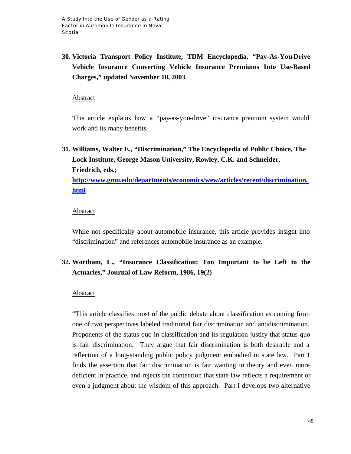# **30. Victoria Transport Policy Institute, TDM Encyclopedia, "Pay-As-You-Drive Vehicle Insurance Converting Vehicle Insurance Premiums Into Use-Based Charges," updated November 10, 2003**

### Abstract

This article explains how a "pay-as-you-drive" insurance premium system would work and its many benefits.

**31. Williams, Walter E., "Discrimination," The Encyclopedia of Public Choice, The Lock Institute, George Mason University, Rowley, C.K. and Schneider, Friedrich, eds.; http://www.gmu.edu/departments/economics/wew/articles/recent/discrimination. html**

#### Abstract

While not specifically about automobile insurance, this article provides insight into "discrimination" and references automobile insurance as an example.

# **32. Wortham, L., "Insurance Classification: Too Important to be Left to the Actuaries," Journal of Law Reform, 1986, 19(2)**

#### Abstract

"This article classifies most of the public debate about classification as coming from one of two perspectives labeled traditional fair discrimination and antidiscrimination. Proponents of the status quo in classification and its regulation justify that status quo is fair discrimination. They argue that fair discrimination is both desirable and a reflection of a long-standing public policy judgment embodied in state law. Part I finds the assertion that fair discrimination is fair wanting in theory and even more deficient in practice, and rejects the contention that state law reflects a requirement or even a judgment about the wisdom of this approach. Part I develops two alternative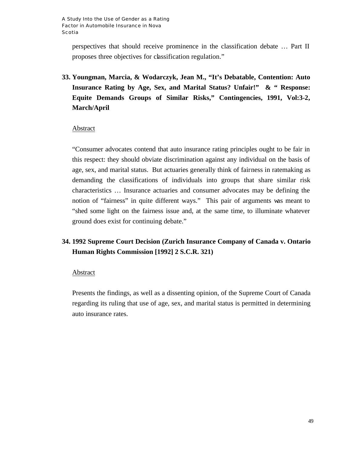perspectives that should receive prominence in the classification debate … Part II proposes three objectives for classification regulation."

# **33. Youngman, Marcia, & Wodarczyk, Jean M., "It's Debatable, Contention: Auto Insurance Rating by Age, Sex, and Marital Status? Unfair!" & " Response: Equite Demands Groups of Similar Risks," Contingencies, 1991, Vol:3-2, March/April**

### Abstract

"Consumer advocates contend that auto insurance rating principles ought to be fair in this respect: they should obviate discrimination against any individual on the basis of age, sex, and marital status. But actuaries generally think of fairness in ratemaking as demanding the classifications of individuals into groups that share similar risk characteristics … Insurance actuaries and consumer advocates may be defining the notion of "fairness" in quite different ways." This pair of arguments was meant to "shed some light on the fairness issue and, at the same time, to illuminate whatever ground does exist for continuing debate."

# **34. 1992 Supreme Court Decision (Zurich Insurance Company of Canada v. Ontario Human Rights Commission [1992] 2 S.C.R. 321)**

#### Abstract

Presents the findings, as well as a dissenting opinion, of the Supreme Court of Canada regarding its ruling that use of age, sex, and marital status is permitted in determining auto insurance rates.